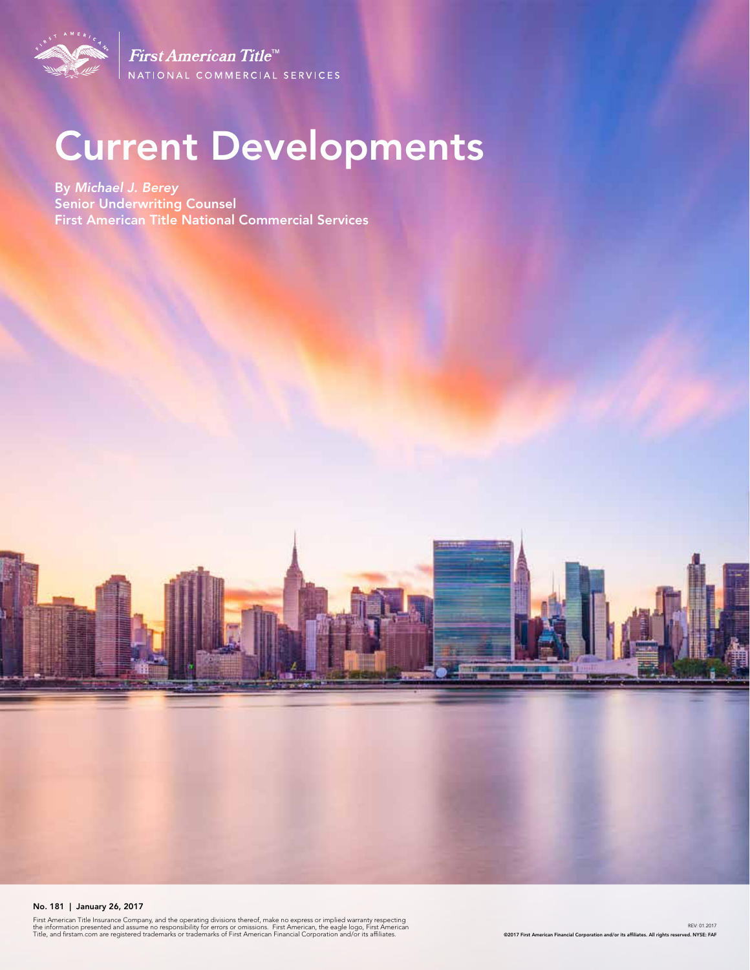

First American Title<sup>tM</sup> NATIONAL COMMERCIAL SERVICES

# Current Developments

By *Michael J. Berey*  Senior Underwriting Counsel First American Title National Commercial Services

#### No. 181 | January 26, 2017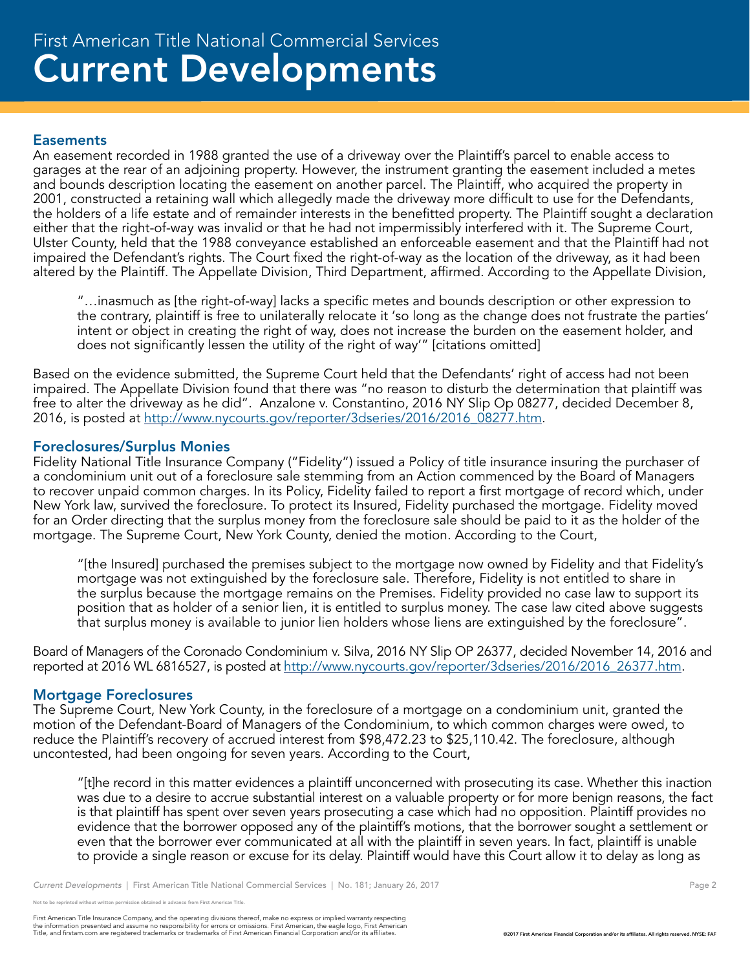#### **Easements**

An easement recorded in 1988 granted the use of a driveway over the Plaintiff's parcel to enable access to garages at the rear of an adjoining property. However, the instrument granting the easement included a metes and bounds description locating the easement on another parcel. The Plaintiff, who acquired the property in 2001, constructed a retaining wall which allegedly made the driveway more difficult to use for the Defendants, the holders of a life estate and of remainder interests in the benefitted property. The Plaintiff sought a declaration either that the right-of-way was invalid or that he had not impermissibly interfered with it. The Supreme Court, Ulster County, held that the 1988 conveyance established an enforceable easement and that the Plaintiff had not impaired the Defendant's rights. The Court fixed the right-of-way as the location of the driveway, as it had been altered by the Plaintiff. The Appellate Division, Third Department, affirmed. According to the Appellate Division,

"…inasmuch as [the right-of-way] lacks a specific metes and bounds description or other expression to the contrary, plaintiff is free to unilaterally relocate it 'so long as the change does not frustrate the parties' intent or object in creating the right of way, does not increase the burden on the easement holder, and does not significantly lessen the utility of the right of way'" [citations omitted]

Based on the evidence submitted, the Supreme Court held that the Defendants' right of access had not been impaired. The Appellate Division found that there was "no reason to disturb the determination that plaintiff was free to alter the driveway as he did". Anzalone v. Constantino, 2016 NY Slip Op 08277, decided December 8, 2016, is posted at http://www.nycourts.gov/reporter/3dseries/2016/2016\_08277.htm.

#### Foreclosures/Surplus Monies

Fidelity National Title Insurance Company ("Fidelity") issued a Policy of title insurance insuring the purchaser of a condominium unit out of a foreclosure sale stemming from an Action commenced by the Board of Managers to recover unpaid common charges. In its Policy, Fidelity failed to report a first mortgage of record which, under New York law, survived the foreclosure. To protect its Insured, Fidelity purchased the mortgage. Fidelity moved for an Order directing that the surplus money from the foreclosure sale should be paid to it as the holder of the mortgage. The Supreme Court, New York County, denied the motion. According to the Court,

"[the Insured] purchased the premises subject to the mortgage now owned by Fidelity and that Fidelity's mortgage was not extinguished by the foreclosure sale. Therefore, Fidelity is not entitled to share in the surplus because the mortgage remains on the Premises. Fidelity provided no case law to support its position that as holder of a senior lien, it is entitled to surplus money. The case law cited above suggests that surplus money is available to junior lien holders whose liens are extinguished by the foreclosure".

Board of Managers of the Coronado Condominium v. Silva, 2016 NY Slip OP 26377, decided November 14, 2016 and reported at 2016 WL 6816527, is posted at http://www.nycourts.gov/reporter/3dseries/2016/2016\_26377.htm.

#### Mortgage Foreclosures

The Supreme Court, New York County, in the foreclosure of a mortgage on a condominium unit, granted the motion of the Defendant-Board of Managers of the Condominium, to which common charges were owed, to reduce the Plaintiff's recovery of accrued interest from \$98,472.23 to \$25,110.42. The foreclosure, although uncontested, had been ongoing for seven years. According to the Court,

"[t]he record in this matter evidences a plaintiff unconcerned with prosecuting its case. Whether this inaction was due to a desire to accrue substantial interest on a valuable property or for more benign reasons, the fact is that plaintiff has spent over seven years prosecuting a case which had no opposition. Plaintiff provides no evidence that the borrower opposed any of the plaintiff's motions, that the borrower sought a settlement or even that the borrower ever communicated at all with the plaintiff in seven years. In fact, plaintiff is unable to provide a single reason or excuse for its delay. Plaintiff would have this Court allow it to delay as long as

.<br>Note reprinted without written permission obtained in advance from First American Title.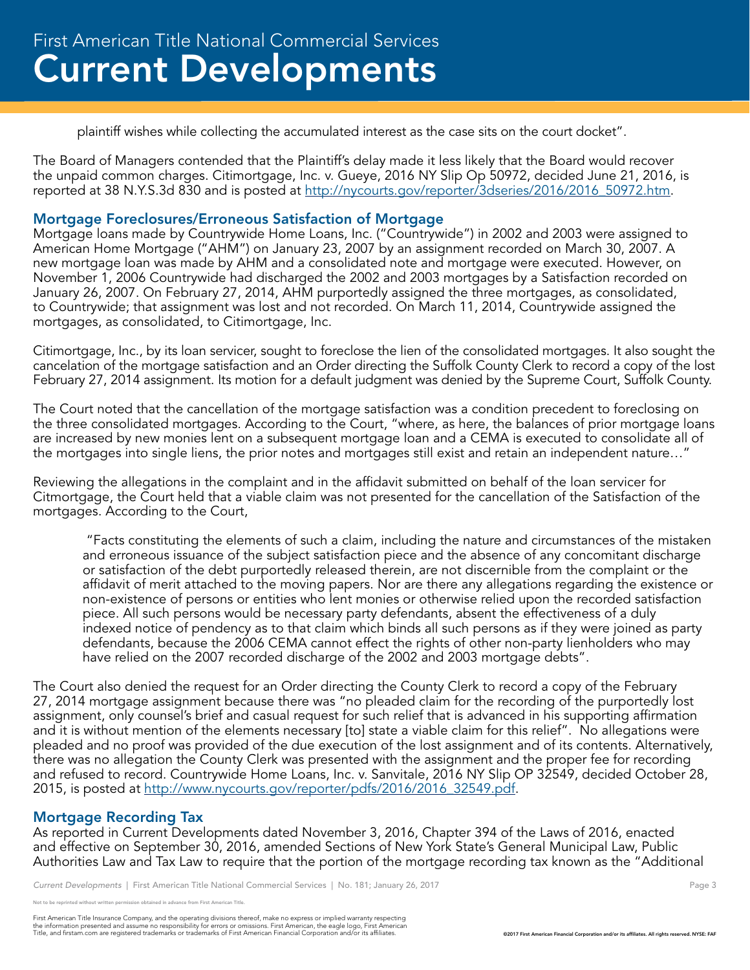plaintiff wishes while collecting the accumulated interest as the case sits on the court docket".

The Board of Managers contended that the Plaintiff's delay made it less likely that the Board would recover the unpaid common charges. Citimortgage, Inc. v. Gueye, 2016 NY Slip Op 50972, decided June 21, 2016, is reported at 38 N.Y.S.3d 830 and is posted at http://nycourts.gov/reporter/3dseries/2016/2016\_50972.htm.

#### Mortgage Foreclosures/Erroneous Satisfaction of Mortgage

Mortgage loans made by Countrywide Home Loans, Inc. ("Countrywide") in 2002 and 2003 were assigned to American Home Mortgage ("AHM") on January 23, 2007 by an assignment recorded on March 30, 2007. A new mortgage loan was made by AHM and a consolidated note and mortgage were executed. However, on November 1, 2006 Countrywide had discharged the 2002 and 2003 mortgages by a Satisfaction recorded on January 26, 2007. On February 27, 2014, AHM purportedly assigned the three mortgages, as consolidated, to Countrywide; that assignment was lost and not recorded. On March 11, 2014, Countrywide assigned the mortgages, as consolidated, to Citimortgage, Inc.

Citimortgage, Inc., by its loan servicer, sought to foreclose the lien of the consolidated mortgages. It also sought the cancelation of the mortgage satisfaction and an Order directing the Suffolk County Clerk to record a copy of the lost February 27, 2014 assignment. Its motion for a default judgment was denied by the Supreme Court, Suffolk County.

The Court noted that the cancellation of the mortgage satisfaction was a condition precedent to foreclosing on the three consolidated mortgages. According to the Court, "where, as here, the balances of prior mortgage loans are increased by new monies lent on a subsequent mortgage loan and a CEMA is executed to consolidate all of the mortgages into single liens, the prior notes and mortgages still exist and retain an independent nature…"

Reviewing the allegations in the complaint and in the affidavit submitted on behalf of the loan servicer for Citmortgage, the Court held that a viable claim was not presented for the cancellation of the Satisfaction of the mortgages. According to the Court,

 "Facts constituting the elements of such a claim, including the nature and circumstances of the mistaken and erroneous issuance of the subject satisfaction piece and the absence of any concomitant discharge or satisfaction of the debt purportedly released therein, are not discernible from the complaint or the affidavit of merit attached to the moving papers. Nor are there any allegations regarding the existence or non-existence of persons or entities who lent monies or otherwise relied upon the recorded satisfaction piece. All such persons would be necessary party defendants, absent the effectiveness of a duly indexed notice of pendency as to that claim which binds all such persons as if they were joined as party defendants, because the 2006 CEMA cannot effect the rights of other non-party lienholders who may have relied on the 2007 recorded discharge of the 2002 and 2003 mortgage debts".

The Court also denied the request for an Order directing the County Clerk to record a copy of the February 27, 2014 mortgage assignment because there was "no pleaded claim for the recording of the purportedly lost assignment, only counsel's brief and casual request for such relief that is advanced in his supporting affirmation and it is without mention of the elements necessary [to] state a viable claim for this relief". No allegations were pleaded and no proof was provided of the due execution of the lost assignment and of its contents. Alternatively, there was no allegation the County Clerk was presented with the assignment and the proper fee for recording and refused to record. Countrywide Home Loans, Inc. v. Sanvitale, 2016 NY Slip OP 32549, decided October 28, 2015, is posted at http://www.nycourts.gov/reporter/pdfs/2016/2016\_32549.pdf.

#### Mortgage Recording Tax

As reported in Current Developments dated November 3, 2016, Chapter 394 of the Laws of 2016, enacted and effective on September 30, 2016, amended Sections of New York State's General Municipal Law, Public Authorities Law and Tax Law to require that the portion of the mortgage recording tax known as the "Additional

*Current Developments* | First American Title National Commercial Services | No. 181; January 26, 2017 **Page 3** Page 3

reprinted without written permission obtained in advance from First American Title.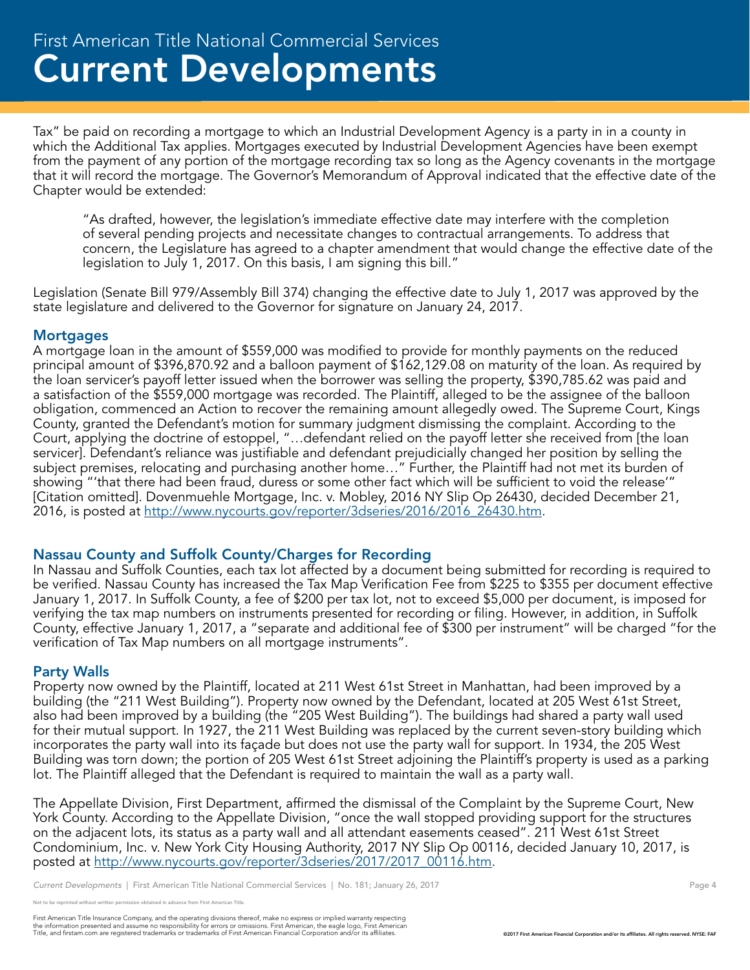Tax" be paid on recording a mortgage to which an Industrial Development Agency is a party in in a county in which the Additional Tax applies. Mortgages executed by Industrial Development Agencies have been exempt from the payment of any portion of the mortgage recording tax so long as the Agency covenants in the mortgage that it will record the mortgage. The Governor's Memorandum of Approval indicated that the effective date of the Chapter would be extended:

"As drafted, however, the legislation's immediate effective date may interfere with the completion of several pending projects and necessitate changes to contractual arrangements. To address that concern, the Legislature has agreed to a chapter amendment that would change the effective date of the legislation to July 1, 2017. On this basis, I am signing this bill."

Legislation (Senate Bill 979/Assembly Bill 374) changing the effective date to July 1, 2017 was approved by the state legislature and delivered to the Governor for signature on January 24, 2017.

#### **Mortgages**

A mortgage loan in the amount of \$559,000 was modified to provide for monthly payments on the reduced principal amount of \$396,870.92 and a balloon payment of \$162,129.08 on maturity of the loan. As required by the loan servicer's payoff letter issued when the borrower was selling the property, \$390,785.62 was paid and a satisfaction of the \$559,000 mortgage was recorded. The Plaintiff, alleged to be the assignee of the balloon obligation, commenced an Action to recover the remaining amount allegedly owed. The Supreme Court, Kings County, granted the Defendant's motion for summary judgment dismissing the complaint. According to the Court, applying the doctrine of estoppel, "…defendant relied on the payoff letter she received from [the loan servicer]. Defendant's reliance was justifiable and defendant prejudicially changed her position by selling the subject premises, relocating and purchasing another home…" Further, the Plaintiff had not met its burden of showing "'that there had been fraud, duress or some other fact which will be sufficient to void the release'" [Citation omitted]. Dovenmuehle Mortgage, Inc. v. Mobley, 2016 NY Slip Op 26430, decided December 21, 2016, is posted at http://www.nycourts.gov/reporter/3dseries/2016/2016\_26430.htm.

#### Nassau County and Suffolk County/Charges for Recording

In Nassau and Suffolk Counties, each tax lot affected by a document being submitted for recording is required to be verified. Nassau County has increased the Tax Map Verification Fee from \$225 to \$355 per document effective January 1, 2017. In Suffolk County, a fee of \$200 per tax lot, not to exceed \$5,000 per document, is imposed for verifying the tax map numbers on instruments presented for recording or filing. However, in addition, in Suffolk County, effective January 1, 2017, a "separate and additional fee of \$300 per instrument" will be charged "for the verification of Tax Map numbers on all mortgage instruments".

#### Party Walls

Property now owned by the Plaintiff, located at 211 West 61st Street in Manhattan, had been improved by a building (the "211 West Building"). Property now owned by the Defendant, located at 205 West 61st Street, also had been improved by a building (the "205 West Building"). The buildings had shared a party wall used for their mutual support. In 1927, the 211 West Building was replaced by the current seven-story building which incorporates the party wall into its façade but does not use the party wall for support. In 1934, the 205 West Building was torn down; the portion of 205 West 61st Street adjoining the Plaintiff's property is used as a parking lot. The Plaintiff alleged that the Defendant is required to maintain the wall as a party wall.

The Appellate Division, First Department, affirmed the dismissal of the Complaint by the Supreme Court, New York County. According to the Appellate Division, "once the wall stopped providing support for the structures on the adjacent lots, its status as a party wall and all attendant easements ceased". 211 West 61st Street Condominium, Inc. v. New York City Housing Authority, 2017 NY Slip Op 00116, decided January 10, 2017, is posted at http://www.nycourts.gov/reporter/3dseries/2017/2017\_00116.htm.

*Current Developments* | First American Title National Commercial Services | No. 181; January 26, 2017 **Page 4** Page 4

reprinted without written permission obtained in advance from First American Title.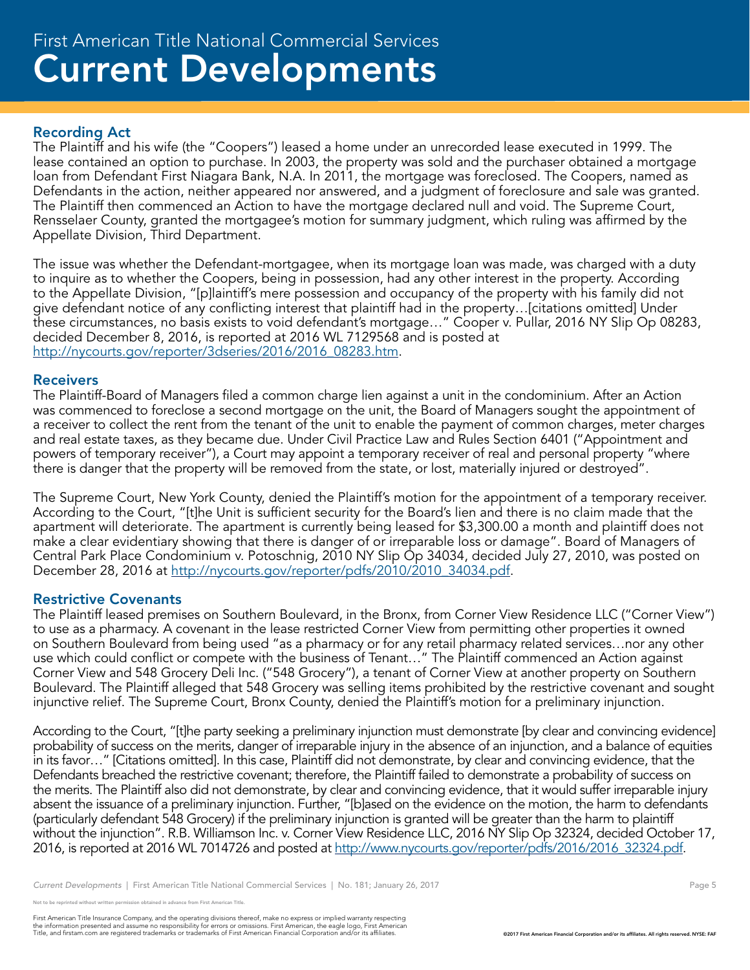## Current Developments First American Title National Commercial Services

#### Recording Act

The Plaintiff and his wife (the "Coopers") leased a home under an unrecorded lease executed in 1999. The lease contained an option to purchase. In 2003, the property was sold and the purchaser obtained a mortgage loan from Defendant First Niagara Bank, N.A. In 2011, the mortgage was foreclosed. The Coopers, named as Defendants in the action, neither appeared nor answered, and a judgment of foreclosure and sale was granted. The Plaintiff then commenced an Action to have the mortgage declared null and void. The Supreme Court, Rensselaer County, granted the mortgagee's motion for summary judgment, which ruling was affirmed by the Appellate Division, Third Department.

The issue was whether the Defendant-mortgagee, when its mortgage loan was made, was charged with a duty to inquire as to whether the Coopers, being in possession, had any other interest in the property. According to the Appellate Division, "[p]laintiff's mere possession and occupancy of the property with his family did not give defendant notice of any conflicting interest that plaintiff had in the property…[citations omitted] Under these circumstances, no basis exists to void defendant's mortgage..." Cooper v. Pullar, 2016 NY Slip Op 08283, decided December 8, 2016, is reported at 2016 WL 7129568 and is posted at http://nycourts.gov/reporter/3dseries/2016/2016\_08283.htm.

#### **Receivers**

The Plaintiff-Board of Managers filed a common charge lien against a unit in the condominium. After an Action was commenced to foreclose a second mortgage on the unit, the Board of Managers sought the appointment of a receiver to collect the rent from the tenant of the unit to enable the payment of common charges, meter charges and real estate taxes, as they became due. Under Civil Practice Law and Rules Section 6401 ("Appointment and powers of temporary receiver"), a Court may appoint a temporary receiver of real and personal property "where there is danger that the property will be removed from the state, or lost, materially injured or destroyed".

The Supreme Court, New York County, denied the Plaintiff's motion for the appointment of a temporary receiver. According to the Court, "[t]he Unit is sufficient security for the Board's lien and there is no claim made that the apartment will deteriorate. The apartment is currently being leased for \$3,300.00 a month and plaintiff does not make a clear evidentiary showing that there is danger of or irreparable loss or damage". Board of Managers of Central Park Place Condominium v. Potoschnig, 2010 NY Slip Op 34034, decided July 27, 2010, was posted on December 28, 2016 at http://nycourts.gov/reporter/pdfs/2010/2010\_34034.pdf.

#### Restrictive Covenants

The Plaintiff leased premises on Southern Boulevard, in the Bronx, from Corner View Residence LLC ("Corner View") to use as a pharmacy. A covenant in the lease restricted Corner View from permitting other properties it owned on Southern Boulevard from being used "as a pharmacy or for any retail pharmacy related services…nor any other use which could conflict or compete with the business of Tenant…" The Plaintiff commenced an Action against Corner View and 548 Grocery Deli Inc. ("548 Grocery"), a tenant of Corner View at another property on Southern Boulevard. The Plaintiff alleged that 548 Grocery was selling items prohibited by the restrictive covenant and sought injunctive relief. The Supreme Court, Bronx County, denied the Plaintiff's motion for a preliminary injunction.

According to the Court, "[t]he party seeking a preliminary injunction must demonstrate [by clear and convincing evidence] probability of success on the merits, danger of irreparable injury in the absence of an injunction, and a balance of equities in its favor…" [Citations omitted]. In this case, Plaintiff did not demonstrate, by clear and convincing evidence, that the Defendants breached the restrictive covenant; therefore, the Plaintiff failed to demonstrate a probability of success on the merits. The Plaintiff also did not demonstrate, by clear and convincing evidence, that it would suffer irreparable injury absent the issuance of a preliminary injunction. Further, "[b]ased on the evidence on the motion, the harm to defendants (particularly defendant 548 Grocery) if the preliminary injunction is granted will be greater than the harm to plaintiff without the injunction". R.B. Williamson Inc. v. Corner View Residence LLC, 2016 NY Slip Op 32324, decided October 17, 2016, is reported at 2016 WL 7014726 and posted at http://www.nycourts.gov/reporter/pdfs/2016/2016\_32324.pdf.

*Current Developments* | First American Title National Commercial Services | No. 181; January 26, 2017 **Page 5** Page 5

not to be reprinted without written permission obtained in advance from First American Title.